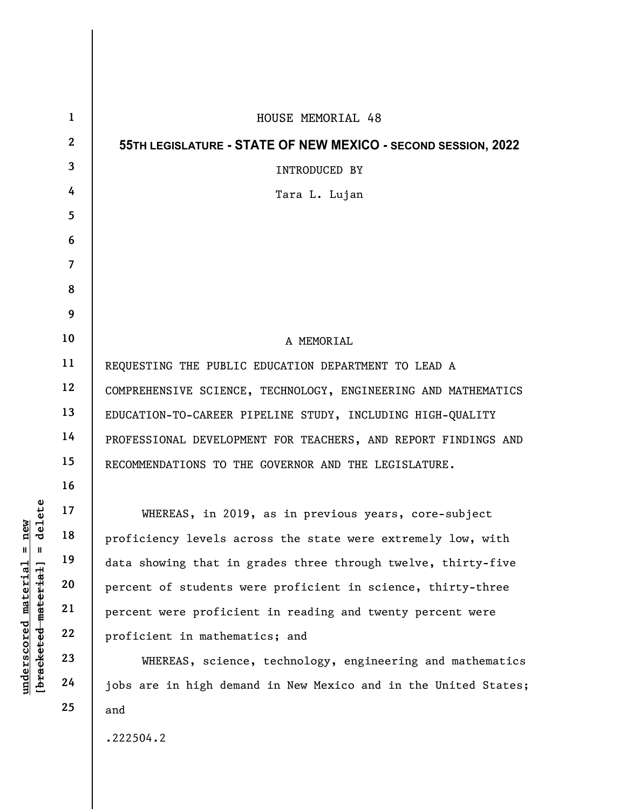|                                                                                                     | $\mathbf{1}$   | HOUSE MEMORIAL 48                                               |
|-----------------------------------------------------------------------------------------------------|----------------|-----------------------------------------------------------------|
|                                                                                                     | $\mathbf{2}$   | 55TH LEGISLATURE - STATE OF NEW MEXICO - SECOND SESSION, 2022   |
|                                                                                                     | 3              | INTRODUCED BY                                                   |
|                                                                                                     | 4              | Tara L. Lujan                                                   |
|                                                                                                     | 5              |                                                                 |
|                                                                                                     | 6              |                                                                 |
|                                                                                                     | $\overline{7}$ |                                                                 |
|                                                                                                     | 8              |                                                                 |
|                                                                                                     | 9              |                                                                 |
|                                                                                                     | 10             | A MEMORIAL                                                      |
|                                                                                                     | 11             | REQUESTING THE PUBLIC EDUCATION DEPARTMENT TO LEAD A            |
|                                                                                                     | 12             | COMPREHENSIVE SCIENCE, TECHNOLOGY, ENGINEERING AND MATHEMATICS  |
|                                                                                                     | 13             | EDUCATION-TO-CAREER PIPELINE STUDY, INCLUDING HIGH-QUALITY      |
|                                                                                                     | 14             | PROFESSIONAL DEVELOPMENT FOR TEACHERS, AND REPORT FINDINGS AND  |
|                                                                                                     | 15             | RECOMMENDATIONS TO THE GOVERNOR AND THE LEGISLATURE.            |
|                                                                                                     | 16             |                                                                 |
|                                                                                                     | 17             | WHEREAS, in 2019, as in previous years, core-subject            |
|                                                                                                     | 18             | proficiency levels across the state were extremely low, with    |
|                                                                                                     | 19             | data showing that in grades three through twelve, thirty-five   |
| delete<br>$n$ ew<br>$\mathbb{I}$<br>$\mathbf{I}$<br>[bracketed material]<br>material<br>underscored | 20             | percent of students were proficient in science, thirty-three    |
|                                                                                                     | 21             | percent were proficient in reading and twenty percent were      |
|                                                                                                     | 22             | proficient in mathematics; and                                  |
|                                                                                                     | 23             | WHEREAS, science, technology, engineering and mathematics       |
|                                                                                                     | 24             | jobs are in high demand in New Mexico and in the United States; |
|                                                                                                     | 25             | and                                                             |
|                                                                                                     |                | .222504.2                                                       |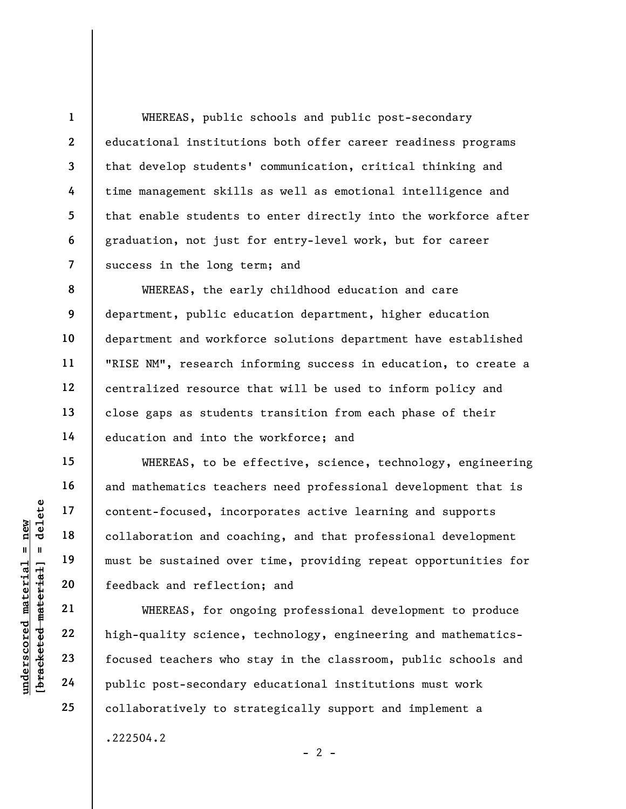WHEREAS, public schools and public post-secondary educational institutions both offer career readiness programs that develop students' communication, critical thinking and time management skills as well as emotional intelligence and that enable students to enter directly into the workforce after graduation, not just for entry-level work, but for career success in the long term; and

WHEREAS, the early childhood education and care department, public education department, higher education department and workforce solutions department have established "RISE NM", research informing success in education, to create a centralized resource that will be used to inform policy and close gaps as students transition from each phase of their education and into the workforce; and

understand material material end and content-focused, inco<br>
end and the sustained over<br>
must be sustained over<br>
teedback and reflection<br>
21 and teedback and reflection<br>
22 bigh-quality science,<br>
23 focused teachers who<br>
24 WHEREAS, to be effective, science, technology, engineering and mathematics teachers need professional development that is content-focused, incorporates active learning and supports collaboration and coaching, and that professional development must be sustained over time, providing repeat opportunities for feedback and reflection; and

WHEREAS, for ongoing professional development to produce high-quality science, technology, engineering and mathematicsfocused teachers who stay in the classroom, public schools and public post-secondary educational institutions must work collaboratively to strategically support and implement a .222504.2

 $- 2 -$ 

1

2

3

4

5

6

7

8

9

10

11

12

13

14

15

16

17

18

19

20

21

22

23

24

25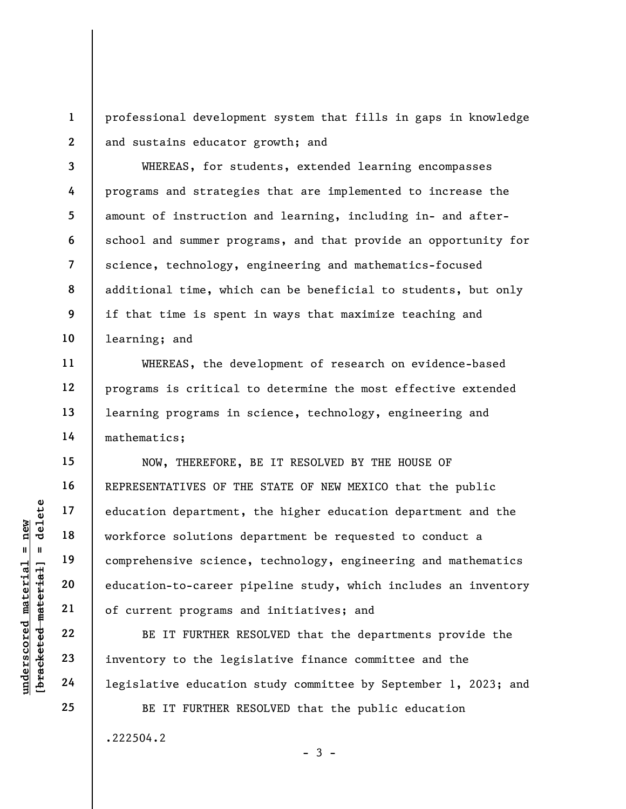1 2 professional development system that fills in gaps in knowledge and sustains educator growth; and

WHEREAS, for students, extended learning encompasses programs and strategies that are implemented to increase the amount of instruction and learning, including in- and afterschool and summer programs, and that provide an opportunity for science, technology, engineering and mathematics-focused additional time, which can be beneficial to students, but only if that time is spent in ways that maximize teaching and learning; and

WHEREAS, the development of research on evidence-based programs is critical to determine the most effective extended learning programs in science, technology, engineering and mathematics;

understand of current programs and the solutions of comprehensive science<br>diagonal scheme and the solutions of comprehensive science<br>along the science education-to-career p<br>of current programs a<br>BE IT FURTHER RI<br>along 23 i NOW, THEREFORE, BE IT RESOLVED BY THE HOUSE OF REPRESENTATIVES OF THE STATE OF NEW MEXICO that the public education department, the higher education department and the workforce solutions department be requested to conduct a comprehensive science, technology, engineering and mathematics education-to-career pipeline study, which includes an inventory of current programs and initiatives; and

BE IT FURTHER RESOLVED that the departments provide the inventory to the legislative finance committee and the legislative education study committee by September 1, 2023; and

 $-3 -$ 

BE IT FURTHER RESOLVED that the public education .222504.2

25

3

4

5

6

7

8

9

10

11

12

13

14

15

16

17

18

19

20

21

22

23

24